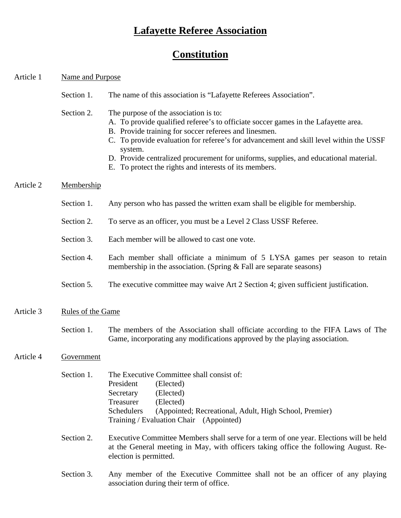# **Lafayette Referee Association**

# **Constitution**

## Article 1 Name and Purpose Name and Purpose

- Section 1. The name of this association is "Lafayette Referees Association".
- Section 2. The purpose of the association is to:
	- A. To provide qualified referee's to officiate soccer games in the Lafayette area.
	- B. Provide training for soccer referees and linesmen.
	- C. To provide evaluation for referee's for advancement and skill level within the USSF system.
	- D. Provide centralized procurement for uniforms, supplies, and educational material.
	- E. To protect the rights and interests of its members.

## Article 2 Membership

- Section 1. Any person who has passed the written exam shall be eligible for membership.
- Section 2. To serve as an officer, you must be a Level 2 Class USSF Referee.
- Section 3. Each member will be allowed to cast one vote.
- Section 4. Each member shall officiate a minimum of 5 LYSA games per season to retain membership in the association. (Spring  $&$  Fall are separate seasons)
- Section 5. The executive committee may waive Art 2 Section 4; given sufficient justification.

## Article 3 Rules of the Game

Section 1. The members of the Association shall officiate according to the FIFA Laws of The Game, incorporating any modifications approved by the playing association.

## Article 4 Government

| Section 1 | The Executive Committee shall consist of: |                                                        |
|-----------|-------------------------------------------|--------------------------------------------------------|
|           | President                                 | (Elected)                                              |
|           | Secretary                                 | (Elected)                                              |
|           | Treasurer                                 | (Elected)                                              |
|           | Schedulers                                | (Appointed; Recreational, Adult, High School, Premier) |
|           |                                           | Training / Evaluation Chair (Appointed)                |
|           |                                           |                                                        |

- Section 2. Executive Committee Members shall serve for a term of one year. Elections will be held at the General meeting in May, with officers taking office the following August. Re election is permitted.
- Section 3. Any member of the Executive Committee shall not be an officer of any playing association during their term of office.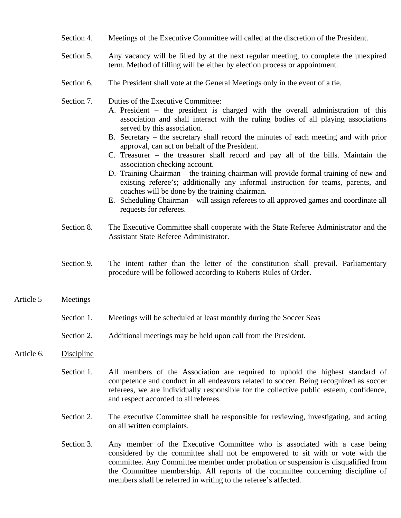- Section 4. Meetings of the Executive Committee will called at the discretion of the President.
- Section 5. Any vacancy will be filled by at the next regular meeting, to complete the unexpired term. Method of filling will be either by election process or appointment.
- Section 6. The President shall vote at the General Meetings only in the event of a tie.
- Section 7. Duties of the Executive Committee:
	- A. President the president is charged with the overall administration of this association and shall interact with the ruling bodies of all playing associations served by this association.
	- B. Secretary the secretary shall record the minutes of each meeting and with prior approval, can act on behalf of the President.
	- C. Treasurer the treasurer shall record and pay all of the bills. Maintain the association checking account.
	- D. Training Chairman the training chairman will provide formal training of new and existing referee's; additionally any informal instruction for teams, parents, and coaches will be done by the training chairman.
	- E. Scheduling Chairman will assign referees to all approved games and coordinate all requests for referees.
- Section 8. The Executive Committee shall cooperate with the State Referee Administrator and the Assistant State Referee Administrator.
- Section 9. The intent rather than the letter of the constitution shall prevail. Parliamentary procedure will be followed according to Roberts Rules of Order.

#### Article 5 Meetings

- Section 1. Meetings will be scheduled at least monthly during the Soccer Seas
- Section 2. Additional meetings may be held upon call from the President.

#### Article 6. Discipline

- Section 1. All members of the Association are required to uphold the highest standard of competence and conduct in all endeavors related to soccer. Being recognized as soccer referees, we are individually responsible for the collective public esteem, confidence, and respect accorded to all referees.
- Section 2. The executive Committee shall be responsible for reviewing, investigating, and acting on all written complaints.
- Section 3. Any member of the Executive Committee who is associated with a case being considered by the committee shall not be empowered to sit with or vote with the committee. Any Committee member under probation or suspension is disqualified from the Committee membership. All reports of the committee concerning discipline of members shall be referred in writing to the referee's affected.